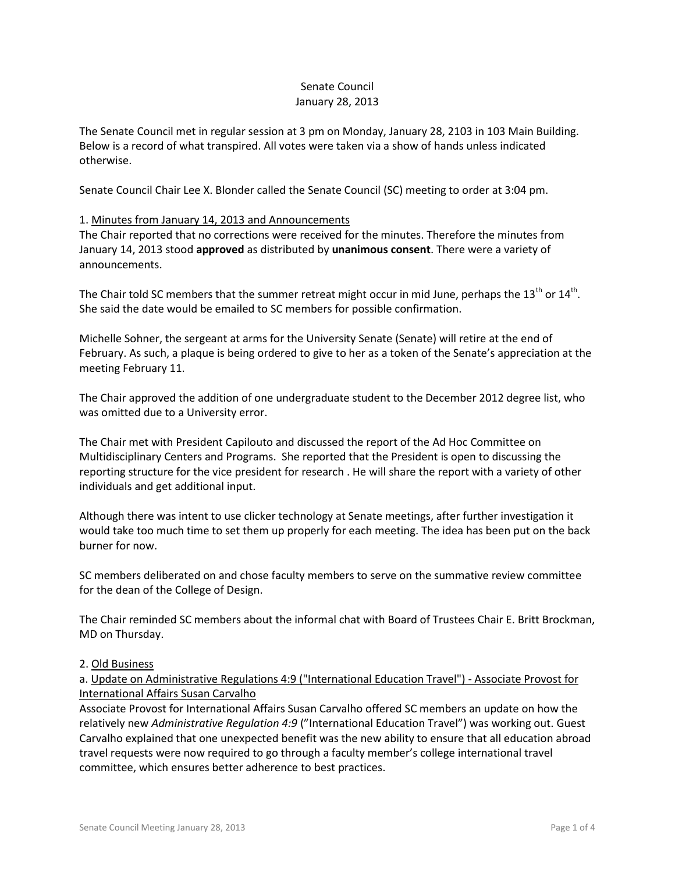### Senate Council January 28, 2013

The Senate Council met in regular session at 3 pm on Monday, January 28, 2103 in 103 Main Building. Below is a record of what transpired. All votes were taken via a show of hands unless indicated otherwise.

Senate Council Chair Lee X. Blonder called the Senate Council (SC) meeting to order at 3:04 pm.

## 1. Minutes from January 14, 2013 and Announcements

The Chair reported that no corrections were received for the minutes. Therefore the minutes from January 14, 2013 stood **approved** as distributed by **unanimous consent**. There were a variety of announcements.

The Chair told SC members that the summer retreat might occur in mid June, perhaps the 13<sup>th</sup> or 14<sup>th</sup>. She said the date would be emailed to SC members for possible confirmation.

Michelle Sohner, the sergeant at arms for the University Senate (Senate) will retire at the end of February. As such, a plaque is being ordered to give to her as a token of the Senate's appreciation at the meeting February 11.

The Chair approved the addition of one undergraduate student to the December 2012 degree list, who was omitted due to a University error.

The Chair met with President Capilouto and discussed the report of the Ad Hoc Committee on Multidisciplinary Centers and Programs. She reported that the President is open to discussing the reporting structure for the vice president for research . He will share the report with a variety of other individuals and get additional input.

Although there was intent to use clicker technology at Senate meetings, after further investigation it would take too much time to set them up properly for each meeting. The idea has been put on the back burner for now.

SC members deliberated on and chose faculty members to serve on the summative review committee for the dean of the College of Design.

The Chair reminded SC members about the informal chat with Board of Trustees Chair E. Britt Brockman, MD on Thursday.

#### 2. Old Business

a. Update on Administrative Regulations 4:9 ("International Education Travel") - Associate Provost for International Affairs Susan Carvalho

Associate Provost for International Affairs Susan Carvalho offered SC members an update on how the relatively new *Administrative Regulation 4:9* ("International Education Travel") was working out. Guest Carvalho explained that one unexpected benefit was the new ability to ensure that all education abroad travel requests were now required to go through a faculty member's college international travel committee, which ensures better adherence to best practices.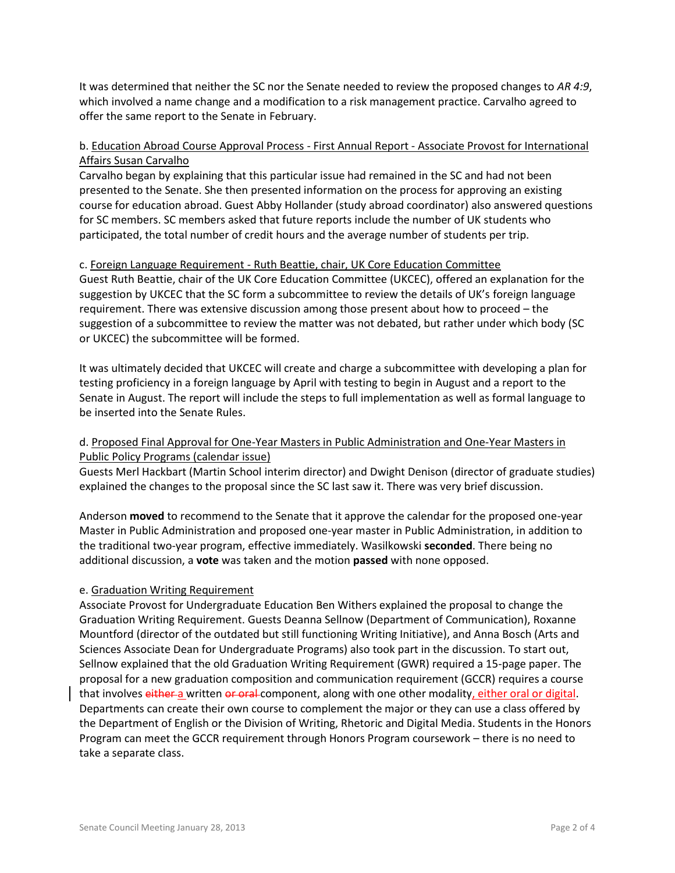It was determined that neither the SC nor the Senate needed to review the proposed changes to *AR 4:9*, which involved a name change and a modification to a risk management practice. Carvalho agreed to offer the same report to the Senate in February.

# b. Education Abroad Course Approval Process - First Annual Report - Associate Provost for International Affairs Susan Carvalho

Carvalho began by explaining that this particular issue had remained in the SC and had not been presented to the Senate. She then presented information on the process for approving an existing course for education abroad. Guest Abby Hollander (study abroad coordinator) also answered questions for SC members. SC members asked that future reports include the number of UK students who participated, the total number of credit hours and the average number of students per trip.

#### c. Foreign Language Requirement - Ruth Beattie, chair, UK Core Education Committee

Guest Ruth Beattie, chair of the UK Core Education Committee (UKCEC), offered an explanation for the suggestion by UKCEC that the SC form a subcommittee to review the details of UK's foreign language requirement. There was extensive discussion among those present about how to proceed – the suggestion of a subcommittee to review the matter was not debated, but rather under which body (SC or UKCEC) the subcommittee will be formed.

It was ultimately decided that UKCEC will create and charge a subcommittee with developing a plan for testing proficiency in a foreign language by April with testing to begin in August and a report to the Senate in August. The report will include the steps to full implementation as well as formal language to be inserted into the Senate Rules.

## d. Proposed Final Approval for One-Year Masters in Public Administration and One-Year Masters in Public Policy Programs (calendar issue)

Guests Merl Hackbart (Martin School interim director) and Dwight Denison (director of graduate studies) explained the changes to the proposal since the SC last saw it. There was very brief discussion.

Anderson **moved** to recommend to the Senate that it approve the calendar for the proposed one-year Master in Public Administration and proposed one-year master in Public Administration, in addition to the traditional two-year program, effective immediately. Wasilkowski **seconded**. There being no additional discussion, a **vote** was taken and the motion **passed** with none opposed.

## e. Graduation Writing Requirement

Associate Provost for Undergraduate Education Ben Withers explained the proposal to change the Graduation Writing Requirement. Guests Deanna Sellnow (Department of Communication), Roxanne Mountford (director of the outdated but still functioning Writing Initiative), and Anna Bosch (Arts and Sciences Associate Dean for Undergraduate Programs) also took part in the discussion. To start out, Sellnow explained that the old Graduation Writing Requirement (GWR) required a 15-page paper. The proposal for a new graduation composition and communication requirement (GCCR) requires a course that involves either a written or oral component, along with one other modality, either oral or digital. Departments can create their own course to complement the major or they can use a class offered by the Department of English or the Division of Writing, Rhetoric and Digital Media. Students in the Honors Program can meet the GCCR requirement through Honors Program coursework – there is no need to take a separate class.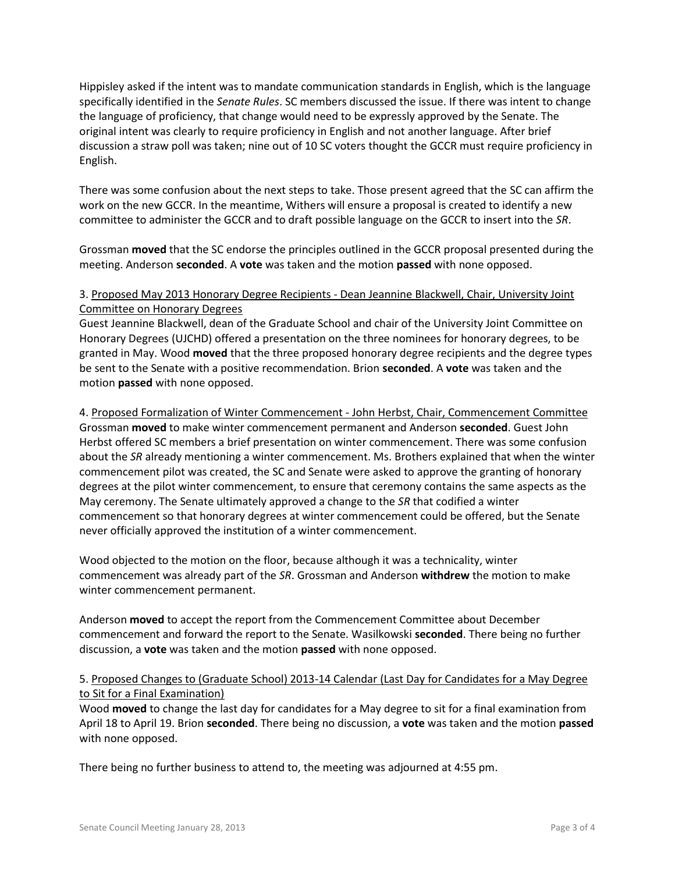Hippisley asked if the intent was to mandate communication standards in English, which is the language specifically identified in the *Senate Rules*. SC members discussed the issue. If there was intent to change the language of proficiency, that change would need to be expressly approved by the Senate. The original intent was clearly to require proficiency in English and not another language. After brief discussion a straw poll was taken; nine out of 10 SC voters thought the GCCR must require proficiency in English.

There was some confusion about the next steps to take. Those present agreed that the SC can affirm the work on the new GCCR. In the meantime, Withers will ensure a proposal is created to identify a new committee to administer the GCCR and to draft possible language on the GCCR to insert into the *SR*.

Grossman **moved** that the SC endorse the principles outlined in the GCCR proposal presented during the meeting. Anderson **seconded**. A **vote** was taken and the motion **passed** with none opposed.

# 3. Proposed May 2013 Honorary Degree Recipients - Dean Jeannine Blackwell, Chair, University Joint Committee on Honorary Degrees

Guest Jeannine Blackwell, dean of the Graduate School and chair of the University Joint Committee on Honorary Degrees (UJCHD) offered a presentation on the three nominees for honorary degrees, to be granted in May. Wood **moved** that the three proposed honorary degree recipients and the degree types be sent to the Senate with a positive recommendation. Brion **seconded**. A **vote** was taken and the motion **passed** with none opposed.

4. Proposed Formalization of Winter Commencement - John Herbst, Chair, Commencement Committee Grossman **moved** to make winter commencement permanent and Anderson **seconded**. Guest John Herbst offered SC members a brief presentation on winter commencement. There was some confusion about the *SR* already mentioning a winter commencement. Ms. Brothers explained that when the winter commencement pilot was created, the SC and Senate were asked to approve the granting of honorary degrees at the pilot winter commencement, to ensure that ceremony contains the same aspects as the May ceremony. The Senate ultimately approved a change to the *SR* that codified a winter commencement so that honorary degrees at winter commencement could be offered, but the Senate never officially approved the institution of a winter commencement.

Wood objected to the motion on the floor, because although it was a technicality, winter commencement was already part of the *SR*. Grossman and Anderson **withdrew** the motion to make winter commencement permanent.

Anderson **moved** to accept the report from the Commencement Committee about December commencement and forward the report to the Senate. Wasilkowski **seconded**. There being no further discussion, a **vote** was taken and the motion **passed** with none opposed.

## 5. Proposed Changes to (Graduate School) 2013-14 Calendar (Last Day for Candidates for a May Degree to Sit for a Final Examination)

Wood **moved** to change the last day for candidates for a May degree to sit for a final examination from April 18 to April 19. Brion **seconded**. There being no discussion, a **vote** was taken and the motion **passed**  with none opposed.

There being no further business to attend to, the meeting was adjourned at 4:55 pm.